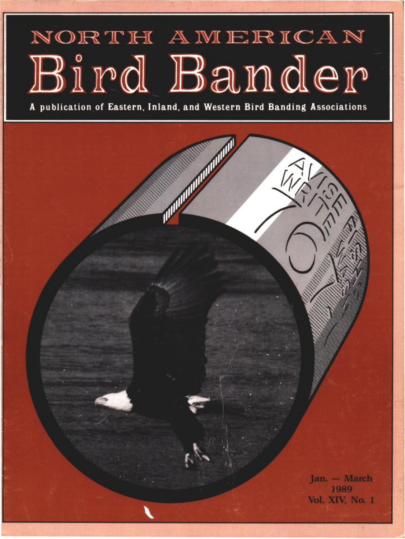## NORTH AMERICAN Bird Bander

**publication of Eastern, In la rid, and Western Bird Banding Associations**